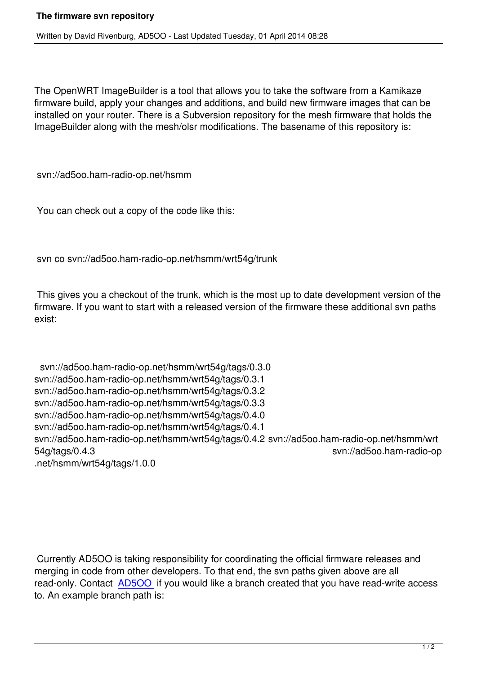The OpenWRT ImageBuilder is a tool that allows you to take the software from a Kamikaze firmware build, apply your changes and additions, and build new firmware images that can be installed on your router. There is a Subversion repository for the mesh firmware that holds the ImageBuilder along with the mesh/olsr modifications. The basename of this repository is:

svn://ad5oo.ham-radio-op.net/hsmm

You can check out a copy of the code like this:

svn co svn://ad5oo.ham-radio-op.net/hsmm/wrt54g/trunk

 This gives you a checkout of the trunk, which is the most up to date development version of the firmware. If you want to start with a released version of the firmware these additional svn paths exist:

 svn://ad5oo.ham-radio-op.net/hsmm/wrt54g/tags/0.3.0 svn://ad5oo.ham-radio-op.net/hsmm/wrt54g/tags/0.3.1 svn://ad5oo.ham-radio-op.net/hsmm/wrt54g/tags/0.3.2 svn://ad5oo.ham-radio-op.net/hsmm/wrt54g/tags/0.3.3 svn://ad5oo.ham-radio-op.net/hsmm/wrt54g/tags/0.4.0 svn://ad5oo.ham-radio-op.net/hsmm/wrt54g/tags/0.4.1 svn://ad5oo.ham-radio-op.net/hsmm/wrt54g/tags/0.4.2 svn://ad5oo.ham-radio-op.net/hsmm/wrt 54g/tags/0.4.3 svn://ad5oo.ham-radio-op .net/hsmm/wrt54g/tags/1.0.0

 Currently AD5OO is taking responsibility for coordinating the official firmware releases and merging in code from other developers. To that end, the svn paths given above are all read-only. Contact **AD5OO** if you would like a branch created that you have read-write access to. An example branch path is: